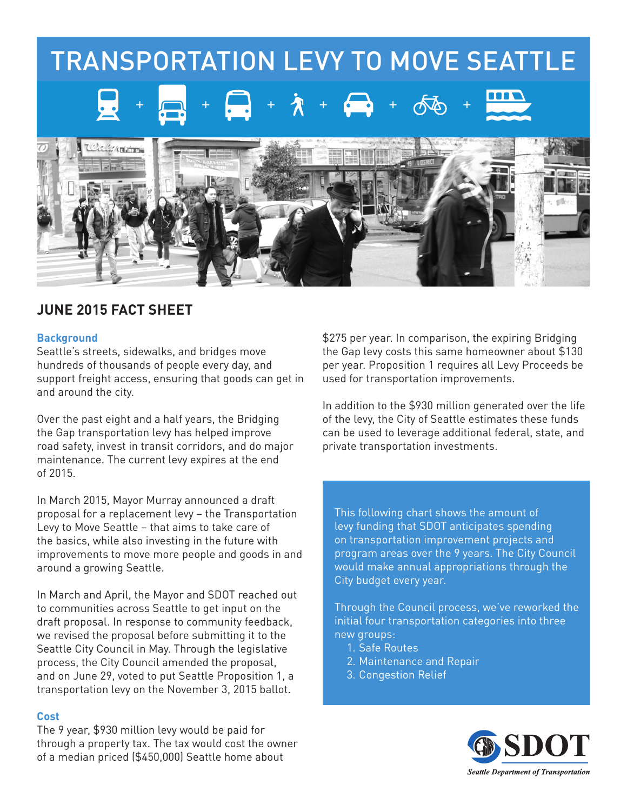

## **JUNE 2015 FACT SHEET**

## **Background**

Seattle's streets, sidewalks, and bridges move hundreds of thousands of people every day, and support freight access, ensuring that goods can get in and around the city.

Over the past eight and a half years, the Bridging the Gap transportation levy has helped improve road safety, invest in transit corridors, and do major maintenance. The current levy expires at the end of 2015.

In March 2015, Mayor Murray announced a draft proposal for a replacement levy – the Transportation Levy to Move Seattle – that aims to take care of the basics, while also investing in the future with improvements to move more people and goods in and around a growing Seattle.

In March and April, the Mayor and SDOT reached out to communities across Seattle to get input on the draft proposal. In response to community feedback, we revised the proposal before submitting it to the Seattle City Council in May. Through the legislative process, the City Council amended the proposal, and on June 29, voted to put Seattle Proposition 1, a transportation levy on the November 3, 2015 ballot.

## **Cost**

The 9 year, \$930 million levy would be paid for through a property tax. The tax would cost the owner of a median priced (\$450,000) Seattle home about

\$275 per year. In comparison, the expiring Bridging the Gap levy costs this same homeowner about \$130 per year. Proposition 1 requires all Levy Proceeds be used for transportation improvements.

In addition to the \$930 million generated over the life of the levy, the City of Seattle estimates these funds can be used to leverage additional federal, state, and private transportation investments.

This following chart shows the amount of levy funding that SDOT anticipates spending on transportation improvement projects and program areas over the 9 years. The City Council would make annual appropriations through the City budget every year.

Through the Council process, we've reworked the initial four transportation categories into three new groups:

- 1. Safe Routes
- 2. Maintenance and Repair
- 3. Congestion Relief

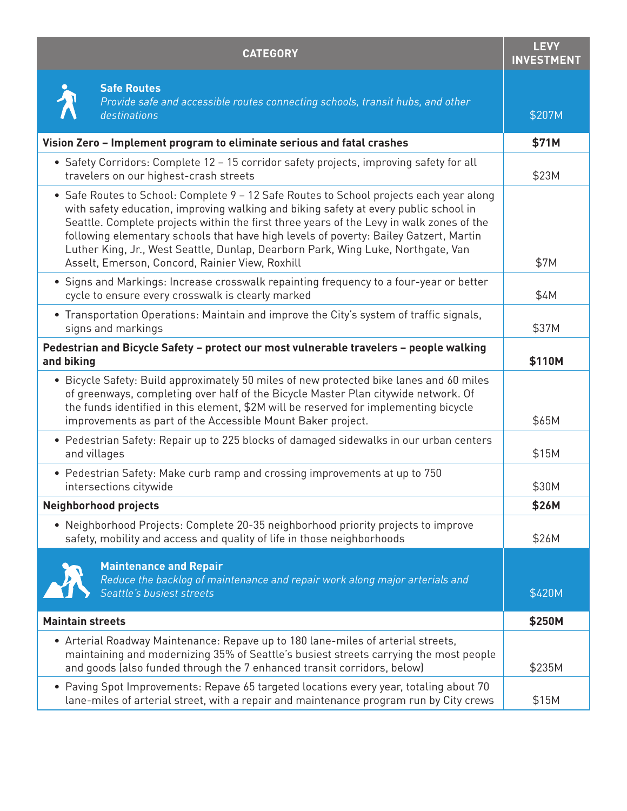| <b>CATEGORY</b>                                                                                                                                                                                                                                                                                                                                                                                                                                                                                             | <b>LEVY</b><br><b>INVESTMENT</b> |
|-------------------------------------------------------------------------------------------------------------------------------------------------------------------------------------------------------------------------------------------------------------------------------------------------------------------------------------------------------------------------------------------------------------------------------------------------------------------------------------------------------------|----------------------------------|
| <b>Safe Routes</b><br>Provide safe and accessible routes connecting schools, transit hubs, and other<br>destinations                                                                                                                                                                                                                                                                                                                                                                                        | \$207M                           |
| Vision Zero - Implement program to eliminate serious and fatal crashes                                                                                                                                                                                                                                                                                                                                                                                                                                      | \$71M                            |
| • Safety Corridors: Complete 12 - 15 corridor safety projects, improving safety for all<br>travelers on our highest-crash streets                                                                                                                                                                                                                                                                                                                                                                           | \$23M                            |
| • Safe Routes to School: Complete 9 - 12 Safe Routes to School projects each year along<br>with safety education, improving walking and biking safety at every public school in<br>Seattle. Complete projects within the first three years of the Levy in walk zones of the<br>following elementary schools that have high levels of poverty: Bailey Gatzert, Martin<br>Luther King, Jr., West Seattle, Dunlap, Dearborn Park, Wing Luke, Northgate, Van<br>Asselt, Emerson, Concord, Rainier View, Roxhill | \$7M                             |
| • Signs and Markings: Increase crosswalk repainting frequency to a four-year or better<br>cycle to ensure every crosswalk is clearly marked                                                                                                                                                                                                                                                                                                                                                                 | \$4M                             |
| • Transportation Operations: Maintain and improve the City's system of traffic signals,<br>signs and markings                                                                                                                                                                                                                                                                                                                                                                                               | \$37M                            |
| Pedestrian and Bicycle Safety - protect our most vulnerable travelers - people walking<br>and biking                                                                                                                                                                                                                                                                                                                                                                                                        | \$110M                           |
| • Bicycle Safety: Build approximately 50 miles of new protected bike lanes and 60 miles<br>of greenways, completing over half of the Bicycle Master Plan citywide network. Of<br>the funds identified in this element, \$2M will be reserved for implementing bicycle<br>improvements as part of the Accessible Mount Baker project.                                                                                                                                                                        | \$65M                            |
| • Pedestrian Safety: Repair up to 225 blocks of damaged sidewalks in our urban centers<br>and villages                                                                                                                                                                                                                                                                                                                                                                                                      | \$15M                            |
| • Pedestrian Safety: Make curb ramp and crossing improvements at up to 750<br>intersections citywide                                                                                                                                                                                                                                                                                                                                                                                                        | \$30M                            |
| <b>Neighborhood projects</b>                                                                                                                                                                                                                                                                                                                                                                                                                                                                                | \$26M                            |
| • Neighborhood Projects: Complete 20-35 neighborhood priority projects to improve<br>safety, mobility and access and quality of life in those neighborhoods                                                                                                                                                                                                                                                                                                                                                 | \$26M                            |
| <b>Maintenance and Repair</b><br>Reduce the backlog of maintenance and repair work along major arterials and<br>Seattle's busiest streets                                                                                                                                                                                                                                                                                                                                                                   | \$420M                           |
| <b>Maintain streets</b>                                                                                                                                                                                                                                                                                                                                                                                                                                                                                     | \$250M                           |
| • Arterial Roadway Maintenance: Repave up to 180 lane-miles of arterial streets,<br>maintaining and modernizing 35% of Seattle's busiest streets carrying the most people<br>and goods (also funded through the 7 enhanced transit corridors, below)                                                                                                                                                                                                                                                        | \$235M                           |
| • Paving Spot Improvements: Repave 65 targeted locations every year, totaling about 70<br>lane-miles of arterial street, with a repair and maintenance program run by City crews                                                                                                                                                                                                                                                                                                                            | \$15M                            |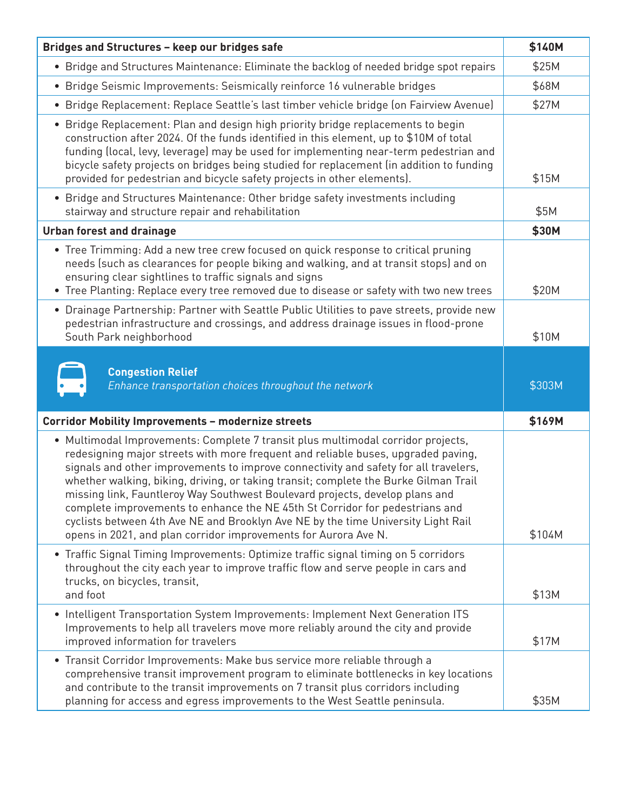| Bridges and Structures - keep our bridges safe                                                                                                                                                                                                                                                                                                                                                                                                                                                                                                                                                                                                                                | \$140M |
|-------------------------------------------------------------------------------------------------------------------------------------------------------------------------------------------------------------------------------------------------------------------------------------------------------------------------------------------------------------------------------------------------------------------------------------------------------------------------------------------------------------------------------------------------------------------------------------------------------------------------------------------------------------------------------|--------|
| • Bridge and Structures Maintenance: Eliminate the backlog of needed bridge spot repairs                                                                                                                                                                                                                                                                                                                                                                                                                                                                                                                                                                                      | \$25M  |
| • Bridge Seismic Improvements: Seismically reinforce 16 vulnerable bridges                                                                                                                                                                                                                                                                                                                                                                                                                                                                                                                                                                                                    | \$68M  |
| · Bridge Replacement: Replace Seattle's last timber vehicle bridge (on Fairview Avenue)                                                                                                                                                                                                                                                                                                                                                                                                                                                                                                                                                                                       | \$27M  |
| • Bridge Replacement: Plan and design high priority bridge replacements to begin<br>construction after 2024. Of the funds identified in this element, up to \$10M of total<br>funding (local, levy, leverage) may be used for implementing near-term pedestrian and<br>bicycle safety projects on bridges being studied for replacement (in addition to funding<br>provided for pedestrian and bicycle safety projects in other elements).                                                                                                                                                                                                                                    | \$15M  |
| • Bridge and Structures Maintenance: Other bridge safety investments including<br>stairway and structure repair and rehabilitation                                                                                                                                                                                                                                                                                                                                                                                                                                                                                                                                            | \$5M   |
| <b>Urban forest and drainage</b>                                                                                                                                                                                                                                                                                                                                                                                                                                                                                                                                                                                                                                              | \$30M  |
| • Tree Trimming: Add a new tree crew focused on quick response to critical pruning<br>needs (such as clearances for people biking and walking, and at transit stops) and on<br>ensuring clear sightlines to traffic signals and signs<br>• Tree Planting: Replace every tree removed due to disease or safety with two new trees                                                                                                                                                                                                                                                                                                                                              | \$20M  |
| • Drainage Partnership: Partner with Seattle Public Utilities to pave streets, provide new<br>pedestrian infrastructure and crossings, and address drainage issues in flood-prone<br>South Park neighborhood                                                                                                                                                                                                                                                                                                                                                                                                                                                                  | \$10M  |
| <b>Congestion Relief</b><br>Enhance transportation choices throughout the network                                                                                                                                                                                                                                                                                                                                                                                                                                                                                                                                                                                             | \$303M |
| <b>Corridor Mobility Improvements - modernize streets</b>                                                                                                                                                                                                                                                                                                                                                                                                                                                                                                                                                                                                                     | \$169M |
| • Multimodal Improvements: Complete 7 transit plus multimodal corridor projects,<br>redesigning major streets with more frequent and reliable buses, upgraded paving,<br>signals and other improvements to improve connectivity and safety for all travelers,<br>whether walking, biking, driving, or taking transit; complete the Burke Gilman Trail<br>missing link, Fauntleroy Way Southwest Boulevard projects, develop plans and<br>complete improvements to enhance the NE 45th St Corridor for pedestrians and<br>cyclists between 4th Ave NE and Brooklyn Ave NE by the time University Light Rail<br>opens in 2021, and plan corridor improvements for Aurora Ave N. | \$104M |
| • Traffic Signal Timing Improvements: Optimize traffic signal timing on 5 corridors<br>throughout the city each year to improve traffic flow and serve people in cars and<br>trucks, on bicycles, transit,<br>and foot                                                                                                                                                                                                                                                                                                                                                                                                                                                        | \$13M  |
| • Intelligent Transportation System Improvements: Implement Next Generation ITS<br>Improvements to help all travelers move more reliably around the city and provide<br>improved information for travelers                                                                                                                                                                                                                                                                                                                                                                                                                                                                    | \$17M  |
| • Transit Corridor Improvements: Make bus service more reliable through a<br>comprehensive transit improvement program to eliminate bottlenecks in key locations<br>and contribute to the transit improvements on 7 transit plus corridors including<br>planning for access and egress improvements to the West Seattle peninsula.                                                                                                                                                                                                                                                                                                                                            | \$35M  |